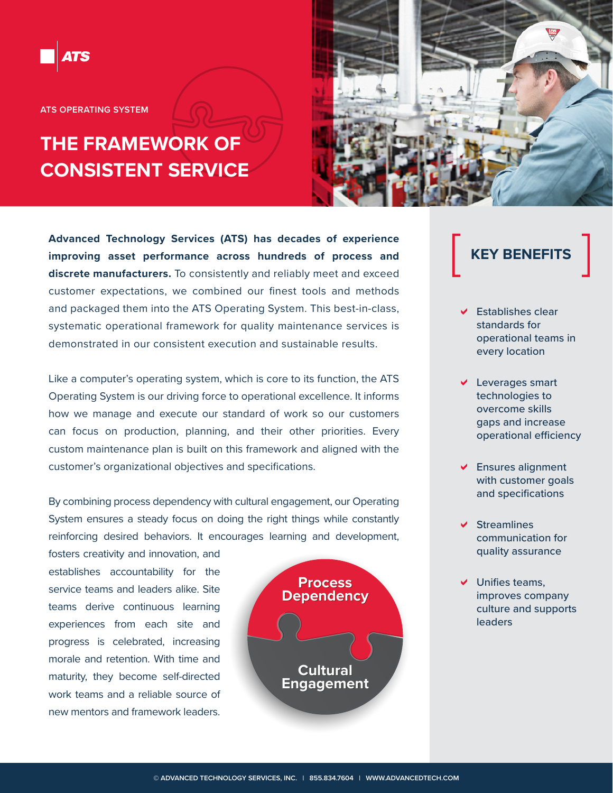**ATS OPERATING SYSTEM**

## **THE FRAMEWORK OF CONSISTENT SERVICE**

**Advanced Technology Services (ATS) has decades of experience improving asset performance across hundreds of process and discrete manufacturers.** To consistently and reliably meet and exceed customer expectations, we combined our finest tools and methods and packaged them into the ATS Operating System. This best-in-class, systematic operational framework for quality maintenance services is demonstrated in our consistent execution and sustainable results.

Like a computer's operating system, which is core to its function, the ATS Operating System is our driving force to operational excellence. It informs how we manage and execute our standard of work so our customers can focus on production, planning, and their other priorities. Every custom maintenance plan is built on this framework and aligned with the customer's organizational objectives and specifications.

By combining process dependency with cultural engagement, our Operating System ensures a steady focus on doing the right things while constantly reinforcing desired behaviors. It encourages learning and development,

fosters creativity and innovation, and establishes accountability for the service teams and leaders alike. Site teams derive continuous learning experiences from each site and progress is celebrated, increasing morale and retention. With time and maturity, they become self-directed work teams and a reliable source of new mentors and framework leaders.





# **KEY BENEFITS**

- $\vee$  Establishes clear standards for operational teams in every location
- $\vee$  Leverages smart technologies to overcome skills gaps and increase operational efficiency
- $\triangleright$  Ensures alignment with customer goals and specifications
- $\vee$  Streamlines communication for quality assurance
- $\vee$  Unifies teams, improves company culture and supports leaders